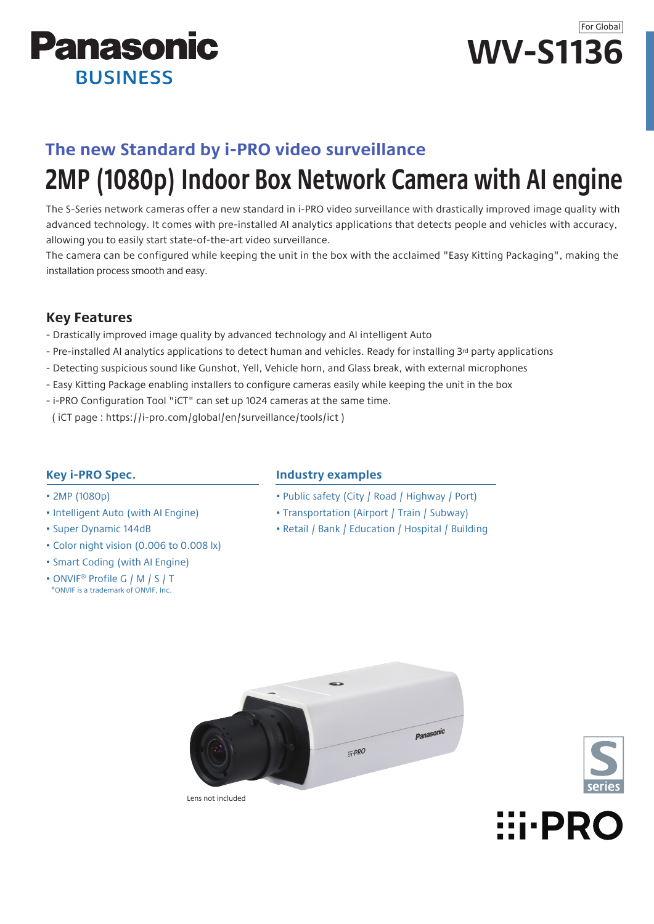



## **The new Standard by i-PRO video surveillance**

# **2MP (1080p) Indoor Box Network Camera with AI engine**

The S-Series network cameras offer a new standard in i-PRO video surveillance with drastically improved image quality with advanced technology. It comes with pre-installed AI analytics applications that detects people and vehicles with accuracy, allowing you to easily start state-of-the-art video surveillance.

The camera can be configured while keeping the unit in the box with the acclaimed "Easy Kitting Packaging", making the installation process smooth and easy.

### **Key Features**

- Drastically improved image quality by advanced technology and AI intelligent Auto
- Pre-installed AI analytics applications to detect human and vehicles. Ready for installing 3rd party applications
- Detecting suspicious sound like Gunshot, Yell, Vehicle horn, and Glass break, with external microphones
- Easy Kitting Package enabling installers to configure cameras easily while keeping the unit in the box
- i-PRO Configuration Tool "iCT" can set up 1024 cameras at the same time.
- ( iCT page : https://i-pro.com/global/en/surveillance/tools/ict )

### **Key i-PRO Spec.**

- 2MP (1080p)
- Intelligent Auto (with AI Engine)
- Super Dynamic 144dB
- Color night vision (0.006 to 0.008 lx)
- Smart Coding (with AI Engine)
- ONVIF® Profile G / M / S / T \*ONVIF is a trademark of ONVIF, Inc.

### **Industry examples**

- Public safety (City / Road / Highway / Port)
- Transportation (Airport / Train / Subway)
- Retail / Bank / Education / Hospital / Building







Lens not included